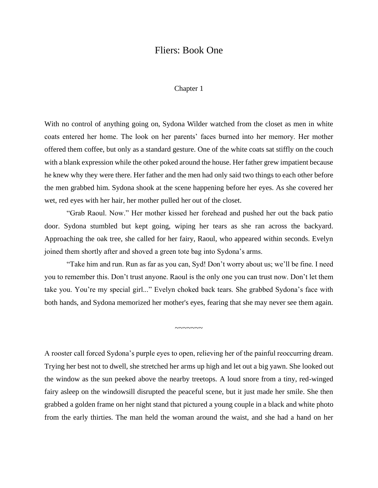# Fliers: Book One

## Chapter 1

With no control of anything going on, Sydona Wilder watched from the closet as men in white coats entered her home. The look on her parents' faces burned into her memory. Her mother offered them coffee, but only as a standard gesture. One of the white coats sat stiffly on the couch with a blank expression while the other poked around the house. Her father grew impatient because he knew why they were there. Her father and the men had only said two things to each other before the men grabbed him. Sydona shook at the scene happening before her eyes. As she covered her wet, red eyes with her hair, her mother pulled her out of the closet.

"Grab Raoul. Now." Her mother kissed her forehead and pushed her out the back patio door. Sydona stumbled but kept going, wiping her tears as she ran across the backyard. Approaching the oak tree, she called for her fairy, Raoul, who appeared within seconds. Evelyn joined them shortly after and shoved a green tote bag into Sydona's arms.

"Take him and run. Run as far as you can, Syd! Don't worry about us; we'll be fine. I need you to remember this. Don't trust anyone. Raoul is the only one you can trust now. Don't let them take you. You're my special girl..." Evelyn choked back tears. She grabbed Sydona's face with both hands, and Sydona memorized her mother's eyes, fearing that she may never see them again.

~~~~~~~~~~~

A rooster call forced Sydona's purple eyes to open, relieving her of the painful reoccurring dream. Trying her best not to dwell, she stretched her arms up high and let out a big yawn. She looked out the window as the sun peeked above the nearby treetops. A loud snore from a tiny, red-winged fairy asleep on the windowsill disrupted the peaceful scene, but it just made her smile. She then grabbed a golden frame on her night stand that pictured a young couple in a black and white photo from the early thirties. The man held the woman around the waist, and she had a hand on her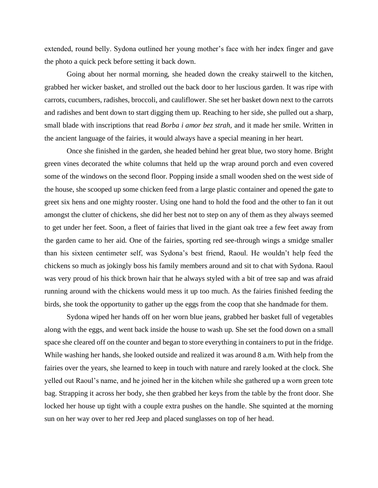extended, round belly. Sydona outlined her young mother's face with her index finger and gave the photo a quick peck before setting it back down.

Going about her normal morning, she headed down the creaky stairwell to the kitchen, grabbed her wicker basket, and strolled out the back door to her luscious garden. It was ripe with carrots, cucumbers, radishes, broccoli, and cauliflower. She set her basket down next to the carrots and radishes and bent down to start digging them up. Reaching to her side, she pulled out a sharp, small blade with inscriptions that read *Borba i amor bez strah,* and it made her smile. Written in the ancient language of the fairies, it would always have a special meaning in her heart.

Once she finished in the garden, she headed behind her great blue, two story home. Bright green vines decorated the white columns that held up the wrap around porch and even covered some of the windows on the second floor. Popping inside a small wooden shed on the west side of the house, she scooped up some chicken feed from a large plastic container and opened the gate to greet six hens and one mighty rooster. Using one hand to hold the food and the other to fan it out amongst the clutter of chickens, she did her best not to step on any of them as they always seemed to get under her feet. Soon, a fleet of fairies that lived in the giant oak tree a few feet away from the garden came to her aid. One of the fairies, sporting red see-through wings a smidge smaller than his sixteen centimeter self, was Sydona's best friend, Raoul. He wouldn't help feed the chickens so much as jokingly boss his family members around and sit to chat with Sydona. Raoul was very proud of his thick brown hair that he always styled with a bit of tree sap and was afraid running around with the chickens would mess it up too much. As the fairies finished feeding the birds, she took the opportunity to gather up the eggs from the coop that she handmade for them.

Sydona wiped her hands off on her worn blue jeans, grabbed her basket full of vegetables along with the eggs, and went back inside the house to wash up. She set the food down on a small space she cleared off on the counter and began to store everything in containers to put in the fridge. While washing her hands, she looked outside and realized it was around 8 a.m. With help from the fairies over the years, she learned to keep in touch with nature and rarely looked at the clock. She yelled out Raoul's name, and he joined her in the kitchen while she gathered up a worn green tote bag. Strapping it across her body, she then grabbed her keys from the table by the front door. She locked her house up tight with a couple extra pushes on the handle. She squinted at the morning sun on her way over to her red Jeep and placed sunglasses on top of her head.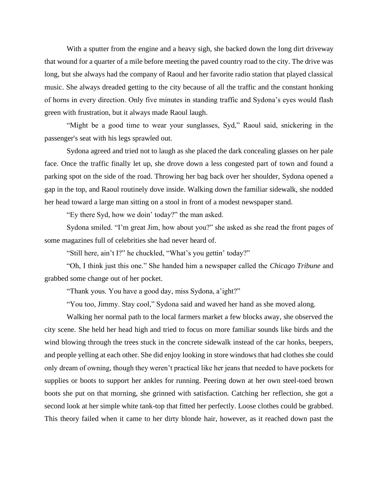With a sputter from the engine and a heavy sigh, she backed down the long dirt driveway that wound for a quarter of a mile before meeting the paved country road to the city. The drive was long, but she always had the company of Raoul and her favorite radio station that played classical music. She always dreaded getting to the city because of all the traffic and the constant honking of horns in every direction. Only five minutes in standing traffic and Sydona's eyes would flash green with frustration, but it always made Raoul laugh.

"Might be a good time to wear your sunglasses, Syd," Raoul said, snickering in the passenger's seat with his legs sprawled out.

Sydona agreed and tried not to laugh as she placed the dark concealing glasses on her pale face. Once the traffic finally let up, she drove down a less congested part of town and found a parking spot on the side of the road. Throwing her bag back over her shoulder, Sydona opened a gap in the top, and Raoul routinely dove inside. Walking down the familiar sidewalk, she nodded her head toward a large man sitting on a stool in front of a modest newspaper stand.

"Ey there Syd, how we doin' today?" the man asked.

Sydona smiled. "I'm great Jim, how about you?" she asked as she read the front pages of some magazines full of celebrities she had never heard of.

"Still here, ain't I?" he chuckled, "What's you gettin' today?"

"Oh, I think just this one." She handed him a newspaper called the *Chicago Tribune* and grabbed some change out of her pocket.

"Thank yous. You have a good day, miss Sydona, a'ight?"

"You too, Jimmy. Stay cool," Sydona said and waved her hand as she moved along.

Walking her normal path to the local farmers market a few blocks away, she observed the city scene. She held her head high and tried to focus on more familiar sounds like birds and the wind blowing through the trees stuck in the concrete sidewalk instead of the car honks, beepers, and people yelling at each other. She did enjoy looking in store windows that had clothes she could only dream of owning, though they weren't practical like her jeans that needed to have pockets for supplies or boots to support her ankles for running. Peering down at her own steel-toed brown boots she put on that morning, she grinned with satisfaction. Catching her reflection, she got a second look at her simple white tank-top that fitted her perfectly. Loose clothes could be grabbed. This theory failed when it came to her dirty blonde hair, however, as it reached down past the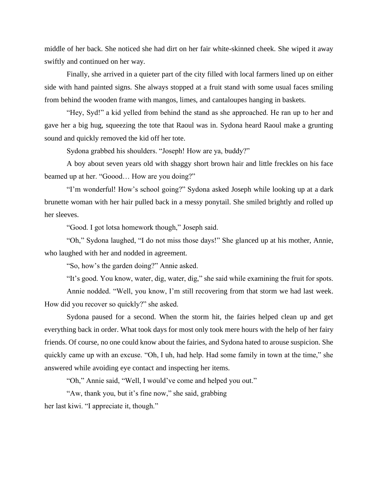middle of her back. She noticed she had dirt on her fair white-skinned cheek. She wiped it away swiftly and continued on her way.

Finally, she arrived in a quieter part of the city filled with local farmers lined up on either side with hand painted signs. She always stopped at a fruit stand with some usual faces smiling from behind the wooden frame with mangos, limes, and cantaloupes hanging in baskets.

"Hey, Syd!" a kid yelled from behind the stand as she approached. He ran up to her and gave her a big hug, squeezing the tote that Raoul was in. Sydona heard Raoul make a grunting sound and quickly removed the kid off her tote.

Sydona grabbed his shoulders. "Joseph! How are ya, buddy?"

A boy about seven years old with shaggy short brown hair and little freckles on his face beamed up at her. "Goood… How are you doing?"

"I'm wonderful! How's school going?" Sydona asked Joseph while looking up at a dark brunette woman with her hair pulled back in a messy ponytail. She smiled brightly and rolled up her sleeves.

"Good. I got lotsa homework though," Joseph said.

"Oh," Sydona laughed, "I do not miss those days!" She glanced up at his mother, Annie, who laughed with her and nodded in agreement.

"So, how's the garden doing?" Annie asked.

"It's good. You know, water, dig, water, dig," she said while examining the fruit for spots.

Annie nodded. "Well, you know, I'm still recovering from that storm we had last week. How did you recover so quickly?" she asked.

Sydona paused for a second. When the storm hit, the fairies helped clean up and get everything back in order. What took days for most only took mere hours with the help of her fairy friends. Of course, no one could know about the fairies, and Sydona hated to arouse suspicion. She quickly came up with an excuse. "Oh, I uh, had help. Had some family in town at the time," she answered while avoiding eye contact and inspecting her items.

"Oh," Annie said, "Well, I would've come and helped you out."

"Aw, thank you, but it's fine now," she said, grabbing her last kiwi. "I appreciate it, though."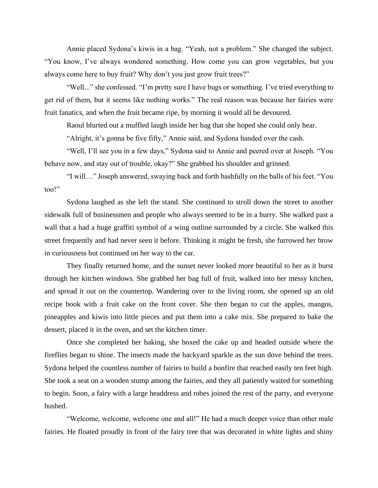Annie placed Sydona's kiwis in a bag. "Yeah, not a problem." She changed the subject. "You know, I've always wondered something. How come you can grow vegetables, but you always come here to buy fruit? Why don't you just grow fruit trees?"

"Well..." she confessed. "I'm pretty sure I have bugs or something. I've tried everything to get rid of them, but it seems like nothing works." The real reason was because her fairies were fruit fanatics, and when the fruit became ripe, by morning it would all be devoured.

Raoul blurted out a muffled laugh inside her bag that she hoped she could only hear.

"Alright, it's gonna be five fifty," Annie said, and Sydona handed over the cash.

"Well, I'll see you in a few days," Sydona said to Annie and peered over at Joseph. "You behave now, and stay out of trouble, okay?" She grabbed his shoulder and grinned.

"I will…" Joseph answered, swaying back and forth bashfully on the balls of his feet. "You too!"

Sydona laughed as she left the stand. She continued to stroll down the street to another sidewalk full of businessmen and people who always seemed to be in a hurry. She walked past a wall that a had a huge graffiti symbol of a wing outline surrounded by a circle. She walked this street frequently and had never seen it before. Thinking it might be fresh, she furrowed her brow in curiousness but continued on her way to the car.

They finally returned home, and the sunset never looked more beautiful to her as it burst through her kitchen windows. She grabbed her bag full of fruit, walked into her messy kitchen, and spread it out on the countertop. Wandering over to the living room, she opened up an old recipe book with a fruit cake on the front cover. She then began to cut the apples, mangos, pineapples and kiwis into little pieces and put them into a cake mix. She prepared to bake the dessert, placed it in the oven, and set the kitchen timer.

Once she completed her baking, she boxed the cake up and headed outside where the fireflies began to shine. The insects made the backyard sparkle as the sun dove behind the trees. Sydona helped the countless number of fairies to build a bonfire that reached easily ten feet high. She took a seat on a wooden stump among the fairies, and they all patiently waited for something to begin. Soon, a fairy with a large headdress and robes joined the rest of the party, and everyone hushed.

"Welcome, welcome, welcome one and all!" He had a much deeper voice than other male fairies. He floated proudly in front of the fairy tree that was decorated in white lights and shiny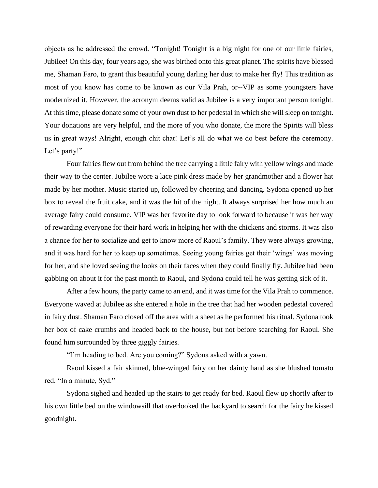objects as he addressed the crowd. "Tonight! Tonight is a big night for one of our little fairies, Jubilee! On this day, four years ago, she was birthed onto this great planet. The spirits have blessed me, Shaman Faro, to grant this beautiful young darling her dust to make her fly! This tradition as most of you know has come to be known as our Vila Prah, or--VIP as some youngsters have modernized it. However, the acronym deems valid as Jubilee is a very important person tonight. At this time, please donate some of your own dust to her pedestal in which she will sleep on tonight. Your donations are very helpful, and the more of you who donate, the more the Spirits will bless us in great ways! Alright, enough chit chat! Let's all do what we do best before the ceremony. Let's party!"

Four fairies flew out from behind the tree carrying a little fairy with yellow wings and made their way to the center. Jubilee wore a lace pink dress made by her grandmother and a flower hat made by her mother. Music started up, followed by cheering and dancing. Sydona opened up her box to reveal the fruit cake, and it was the hit of the night. It always surprised her how much an average fairy could consume. VIP was her favorite day to look forward to because it was her way of rewarding everyone for their hard work in helping her with the chickens and storms. It was also a chance for her to socialize and get to know more of Raoul's family. They were always growing, and it was hard for her to keep up sometimes. Seeing young fairies get their 'wings' was moving for her, and she loved seeing the looks on their faces when they could finally fly. Jubilee had been gabbing on about it for the past month to Raoul, and Sydona could tell he was getting sick of it.

After a few hours, the party came to an end, and it was time for the Vila Prah to commence. Everyone waved at Jubilee as she entered a hole in the tree that had her wooden pedestal covered in fairy dust. Shaman Faro closed off the area with a sheet as he performed his ritual. Sydona took her box of cake crumbs and headed back to the house, but not before searching for Raoul. She found him surrounded by three giggly fairies.

"I'm heading to bed. Are you coming?" Sydona asked with a yawn.

Raoul kissed a fair skinned, blue-winged fairy on her dainty hand as she blushed tomato red. "In a minute, Syd."

Sydona sighed and headed up the stairs to get ready for bed. Raoul flew up shortly after to his own little bed on the windowsill that overlooked the backyard to search for the fairy he kissed goodnight.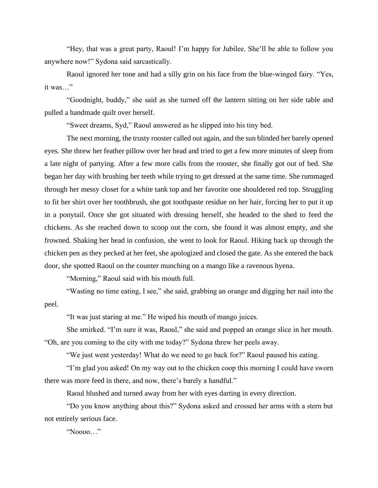"Hey, that was a great party, Raoul! I'm happy for Jubilee. She'll be able to follow you anywhere now!" Sydona said sarcastically.

Raoul ignored her tone and had a silly grin on his face from the blue-winged fairy. "Yes, it was…"

"Goodnight, buddy," she said as she turned off the lantern sitting on her side table and pulled a handmade quilt over herself.

"Sweet dreams, Syd," Raoul answered as he slipped into his tiny bed.

The next morning, the trusty rooster called out again, and the sun blinded her barely opened eyes. She threw her feather pillow over her head and tried to get a few more minutes of sleep from a late night of partying. After a few more calls from the rooster, she finally got out of bed. She began her day with brushing her teeth while trying to get dressed at the same time. She rummaged through her messy closet for a white tank top and her favorite one shouldered red top. Struggling to fit her shirt over her toothbrush, she got toothpaste residue on her hair, forcing her to put it up in a ponytail. Once she got situated with dressing herself, she headed to the shed to feed the chickens. As she reached down to scoop out the corn, she found it was almost empty, and she frowned. Shaking her head in confusion, she went to look for Raoul. Hiking back up through the chicken pen as they pecked at her feet, she apologized and closed the gate. As she entered the back door, she spotted Raoul on the counter munching on a mango like a ravenous hyena.

"Morning," Raoul said with his mouth full.

"Wasting no time eating, I see," she said, grabbing an orange and digging her nail into the peel.

"It was just staring at me." He wiped his mouth of mango juices.

She smirked. "I'm sure it was, Raoul," she said and popped an orange slice in her mouth. "Oh, are you coming to the city with me today?" Sydona threw her peels away.

"We just went yesterday! What do we need to go back for?" Raoul paused his eating.

"I'm glad you asked! On my way out to the chicken coop this morning I could have sworn there was more feed in there, and now, there's barely a handful."

Raoul blushed and turned away from her with eyes darting in every direction.

"Do you know anything about this?" Sydona asked and crossed her arms with a stern but not entirely serious face.

"Noooo…"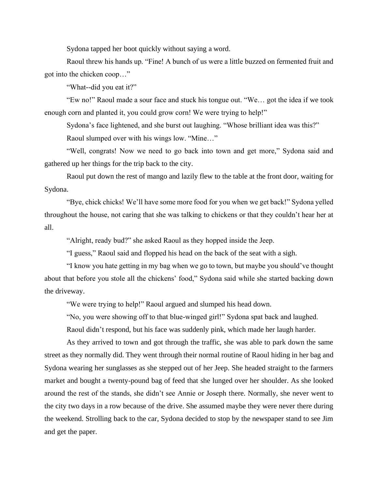Sydona tapped her boot quickly without saying a word.

Raoul threw his hands up. "Fine! A bunch of us were a little buzzed on fermented fruit and got into the chicken coop…"

"What--did you eat it?"

"Ew no!" Raoul made a sour face and stuck his tongue out. "We… got the idea if we took enough corn and planted it, you could grow corn! We were trying to help!"

Sydona's face lightened, and she burst out laughing. "Whose brilliant idea was this?"

Raoul slumped over with his wings low. "Mine…"

"Well, congrats! Now we need to go back into town and get more," Sydona said and gathered up her things for the trip back to the city.

Raoul put down the rest of mango and lazily flew to the table at the front door, waiting for Sydona.

"Bye, chick chicks! We'll have some more food for you when we get back!" Sydona yelled throughout the house, not caring that she was talking to chickens or that they couldn't hear her at all.

"Alright, ready bud?" she asked Raoul as they hopped inside the Jeep.

"I guess," Raoul said and flopped his head on the back of the seat with a sigh.

"I know you hate getting in my bag when we go to town, but maybe you should've thought about that before you stole all the chickens' food," Sydona said while she started backing down the driveway.

"We were trying to help!" Raoul argued and slumped his head down.

"No, you were showing off to that blue-winged girl!" Sydona spat back and laughed.

Raoul didn't respond, but his face was suddenly pink, which made her laugh harder.

As they arrived to town and got through the traffic, she was able to park down the same street as they normally did. They went through their normal routine of Raoul hiding in her bag and Sydona wearing her sunglasses as she stepped out of her Jeep. She headed straight to the farmers market and bought a twenty-pound bag of feed that she lunged over her shoulder. As she looked around the rest of the stands, she didn't see Annie or Joseph there. Normally, she never went to the city two days in a row because of the drive. She assumed maybe they were never there during the weekend. Strolling back to the car, Sydona decided to stop by the newspaper stand to see Jim and get the paper.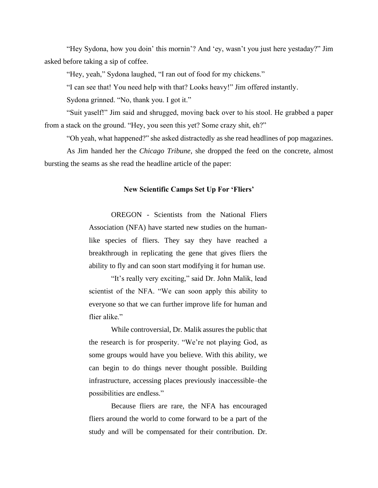"Hey Sydona, how you doin' this mornin'? And 'ey, wasn't you just here yestaday?" Jim asked before taking a sip of coffee.

"Hey, yeah," Sydona laughed, "I ran out of food for my chickens."

"I can see that! You need help with that? Looks heavy!" Jim offered instantly.

Sydona grinned. "No, thank you. I got it."

"Suit yaself!" Jim said and shrugged, moving back over to his stool. He grabbed a paper from a stack on the ground. "Hey, you seen this yet? Some crazy shit, eh?"

"Oh yeah, what happened?" she asked distractedly as she read headlines of pop magazines.

As Jim handed her the *Chicago Tribune*, she dropped the feed on the concrete, almost bursting the seams as she read the headline article of the paper:

#### **New Scientific Camps Set Up For 'Fliers'**

OREGON - Scientists from the National Fliers Association (NFA) have started new studies on the humanlike species of fliers. They say they have reached a breakthrough in replicating the gene that gives fliers the ability to fly and can soon start modifying it for human use.

"It's really very exciting," said Dr. John Malik, lead scientist of the NFA. "We can soon apply this ability to everyone so that we can further improve life for human and flier alike."

While controversial, Dr. Malik assures the public that the research is for prosperity. "We're not playing God, as some groups would have you believe. With this ability, we can begin to do things never thought possible. Building infrastructure, accessing places previously inaccessible–the possibilities are endless."

Because fliers are rare, the NFA has encouraged fliers around the world to come forward to be a part of the study and will be compensated for their contribution. Dr.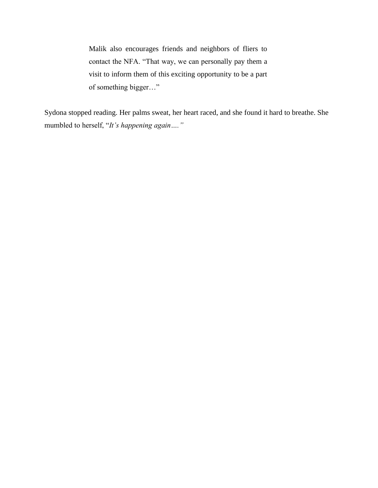Malik also encourages friends and neighbors of fliers to contact the NFA. "That way, we can personally pay them a visit to inform them of this exciting opportunity to be a part of something bigger…"

Sydona stopped reading. Her palms sweat, her heart raced, and she found it hard to breathe. She mumbled to herself, "*It's happening again…."*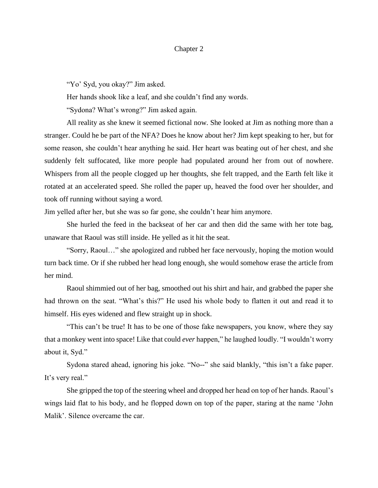## Chapter 2

"Yo' Syd, you okay?" Jim asked.

Her hands shook like a leaf, and she couldn't find any words.

"Sydona? What's wrong?" Jim asked again.

All reality as she knew it seemed fictional now. She looked at Jim as nothing more than a stranger. Could he be part of the NFA? Does he know about her? Jim kept speaking to her, but for some reason, she couldn't hear anything he said. Her heart was beating out of her chest, and she suddenly felt suffocated, like more people had populated around her from out of nowhere. Whispers from all the people clogged up her thoughts, she felt trapped, and the Earth felt like it rotated at an accelerated speed. She rolled the paper up, heaved the food over her shoulder, and took off running without saying a word.

Jim yelled after her, but she was so far gone, she couldn't hear him anymore.

She hurled the feed in the backseat of her car and then did the same with her tote bag, unaware that Raoul was still inside. He yelled as it hit the seat.

"Sorry, Raoul…" she apologized and rubbed her face nervously, hoping the motion would turn back time. Or if she rubbed her head long enough, she would somehow erase the article from her mind.

Raoul shimmied out of her bag, smoothed out his shirt and hair, and grabbed the paper she had thrown on the seat. "What's this?" He used his whole body to flatten it out and read it to himself. His eyes widened and flew straight up in shock.

"This can't be true! It has to be one of those fake newspapers, you know, where they say that a monkey went into space! Like that could *ever* happen," he laughed loudly. "I wouldn't worry about it, Syd."

Sydona stared ahead, ignoring his joke. "No--" she said blankly, "this isn't a fake paper. It's very real."

She gripped the top of the steering wheel and dropped her head on top of her hands. Raoul's wings laid flat to his body, and he flopped down on top of the paper, staring at the name 'John Malik'. Silence overcame the car.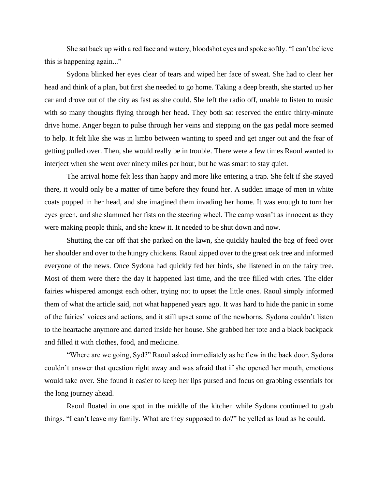She sat back up with a red face and watery, bloodshot eyes and spoke softly. "I can't believe this is happening again..."

Sydona blinked her eyes clear of tears and wiped her face of sweat. She had to clear her head and think of a plan, but first she needed to go home. Taking a deep breath, she started up her car and drove out of the city as fast as she could. She left the radio off, unable to listen to music with so many thoughts flying through her head. They both sat reserved the entire thirty-minute drive home. Anger began to pulse through her veins and stepping on the gas pedal more seemed to help. It felt like she was in limbo between wanting to speed and get anger out and the fear of getting pulled over. Then, she would really be in trouble. There were a few times Raoul wanted to interject when she went over ninety miles per hour, but he was smart to stay quiet.

The arrival home felt less than happy and more like entering a trap. She felt if she stayed there, it would only be a matter of time before they found her. A sudden image of men in white coats popped in her head, and she imagined them invading her home. It was enough to turn her eyes green, and she slammed her fists on the steering wheel. The camp wasn't as innocent as they were making people think, and she knew it. It needed to be shut down and now.

Shutting the car off that she parked on the lawn, she quickly hauled the bag of feed over her shoulder and over to the hungry chickens. Raoul zipped over to the great oak tree and informed everyone of the news. Once Sydona had quickly fed her birds, she listened in on the fairy tree. Most of them were there the day it happened last time, and the tree filled with cries. The elder fairies whispered amongst each other, trying not to upset the little ones. Raoul simply informed them of what the article said, not what happened years ago. It was hard to hide the panic in some of the fairies' voices and actions, and it still upset some of the newborns. Sydona couldn't listen to the heartache anymore and darted inside her house. She grabbed her tote and a black backpack and filled it with clothes, food, and medicine.

"Where are we going, Syd?" Raoul asked immediately as he flew in the back door. Sydona couldn't answer that question right away and was afraid that if she opened her mouth, emotions would take over. She found it easier to keep her lips pursed and focus on grabbing essentials for the long journey ahead.

Raoul floated in one spot in the middle of the kitchen while Sydona continued to grab things. "I can't leave my family. What are they supposed to do?" he yelled as loud as he could.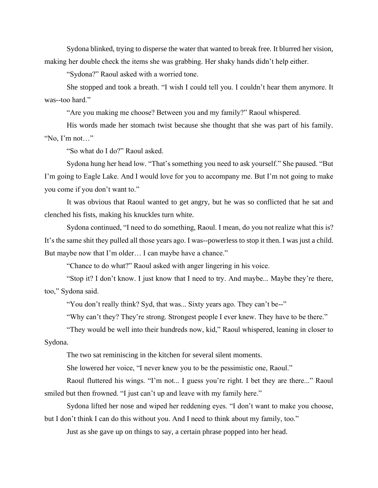Sydona blinked, trying to disperse the water that wanted to break free. It blurred her vision, making her double check the items she was grabbing. Her shaky hands didn't help either.

"Sydona?" Raoul asked with a worried tone.

She stopped and took a breath. "I wish I could tell you. I couldn't hear them anymore. It was--too hard."

"Are you making me choose? Between you and my family?" Raoul whispered.

His words made her stomach twist because she thought that she was part of his family. "No, I'm not…"

"So what do I do?" Raoul asked.

Sydona hung her head low. "That's something you need to ask yourself." She paused. "But I'm going to Eagle Lake. And I would love for you to accompany me. But I'm not going to make you come if you don't want to."

It was obvious that Raoul wanted to get angry, but he was so conflicted that he sat and clenched his fists, making his knuckles turn white.

Sydona continued, "I need to do something, Raoul. I mean, do you not realize what this is? It's the same shit they pulled all those years ago. I was--powerless to stop it then. I was just a child. But maybe now that I'm older... I can maybe have a chance."

"Chance to do what?" Raoul asked with anger lingering in his voice.

"Stop it? I don't know. I just know that I need to try. And maybe... Maybe they're there, too," Sydona said.

"You don't really think? Syd, that was... Sixty years ago. They can't be--"

"Why can't they? They're strong. Strongest people I ever knew. They have to be there."

"They would be well into their hundreds now, kid," Raoul whispered, leaning in closer to Sydona.

The two sat reminiscing in the kitchen for several silent moments.

She lowered her voice, "I never knew you to be the pessimistic one, Raoul."

Raoul fluttered his wings. "I'm not... I guess you're right. I bet they are there..." Raoul smiled but then frowned. "I just can't up and leave with my family here."

Sydona lifted her nose and wiped her reddening eyes. "I don't want to make you choose, but I don't think I can do this without you. And I need to think about my family, too."

Just as she gave up on things to say, a certain phrase popped into her head.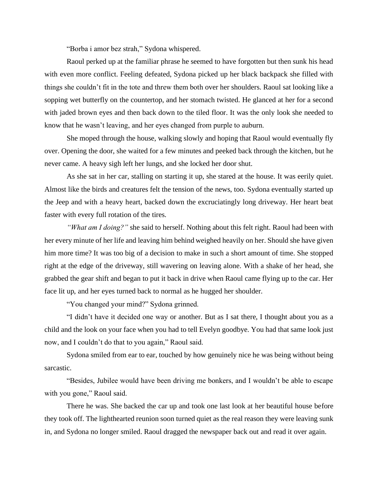"Borba i amor bez strah," Sydona whispered.

Raoul perked up at the familiar phrase he seemed to have forgotten but then sunk his head with even more conflict. Feeling defeated, Sydona picked up her black backpack she filled with things she couldn't fit in the tote and threw them both over her shoulders. Raoul sat looking like a sopping wet butterfly on the countertop, and her stomach twisted. He glanced at her for a second with jaded brown eyes and then back down to the tiled floor. It was the only look she needed to know that he wasn't leaving, and her eyes changed from purple to auburn.

She moped through the house, walking slowly and hoping that Raoul would eventually fly over. Opening the door, she waited for a few minutes and peeked back through the kitchen, but he never came. A heavy sigh left her lungs, and she locked her door shut.

As she sat in her car, stalling on starting it up, she stared at the house. It was eerily quiet. Almost like the birds and creatures felt the tension of the news, too. Sydona eventually started up the Jeep and with a heavy heart, backed down the excruciatingly long driveway. Her heart beat faster with every full rotation of the tires.

*"What am I doing?"* she said to herself. Nothing about this felt right. Raoul had been with her every minute of her life and leaving him behind weighed heavily on her. Should she have given him more time? It was too big of a decision to make in such a short amount of time. She stopped right at the edge of the driveway, still wavering on leaving alone. With a shake of her head, she grabbed the gear shift and began to put it back in drive when Raoul came flying up to the car. Her face lit up, and her eyes turned back to normal as he hugged her shoulder.

"You changed your mind?" Sydona grinned.

"I didn't have it decided one way or another. But as I sat there, I thought about you as a child and the look on your face when you had to tell Evelyn goodbye. You had that same look just now, and I couldn't do that to you again," Raoul said.

Sydona smiled from ear to ear, touched by how genuinely nice he was being without being sarcastic.

"Besides, Jubilee would have been driving me bonkers, and I wouldn't be able to escape with you gone," Raoul said.

There he was. She backed the car up and took one last look at her beautiful house before they took off. The lighthearted reunion soon turned quiet as the real reason they were leaving sunk in, and Sydona no longer smiled. Raoul dragged the newspaper back out and read it over again.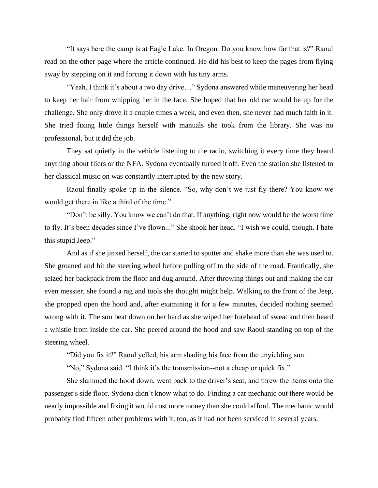"It says here the camp is at Eagle Lake. In Oregon. Do you know how far that is?" Raoul read on the other page where the article continued. He did his best to keep the pages from flying away by stepping on it and forcing it down with his tiny arms.

"Yeah, I think it's about a two day drive…" Sydona answered while maneuvering her head to keep her hair from whipping her in the face. She hoped that her old car would be up for the challenge. She only drove it a couple times a week, and even then, she never had much faith in it. She tried fixing little things herself with manuals she took from the library. She was no professional, but it did the job.

They sat quietly in the vehicle listening to the radio, switching it every time they heard anything about fliers or the NFA. Sydona eventually turned it off. Even the station she listened to her classical music on was constantly interrupted by the new story.

Raoul finally spoke up in the silence. "So, why don't we just fly there? You know we would get there in like a third of the time."

"Don't be silly. You know we can't do that. If anything, right now would be the worst time to fly. It's been decades since I've flown..." She shook her head. "I wish we could, though. I hate this stupid Jeep."

And as if she jinxed herself, the car started to sputter and shake more than she was used to. She groaned and hit the steering wheel before pulling off to the side of the road. Frantically, she seized her backpack from the floor and dug around. After throwing things out and making the car even messier, she found a rag and tools she thought might help. Walking to the front of the Jeep, she propped open the hood and, after examining it for a few minutes, decided nothing seemed wrong with it. The sun beat down on her hard as she wiped her forehead of sweat and then heard a whistle from inside the car. She peered around the hood and saw Raoul standing on top of the steering wheel.

"Did you fix it?" Raoul yelled, his arm shading his face from the unyielding sun.

"No," Sydona said. "I think it's the transmission--not a cheap or quick fix."

She slammed the hood down, went back to the driver's seat, and threw the items onto the passenger's side floor. Sydona didn't know what to do. Finding a car mechanic out there would be nearly impossible and fixing it would cost more money than she could afford. The mechanic would probably find fifteen other problems with it, too, as it had not been serviced in several years.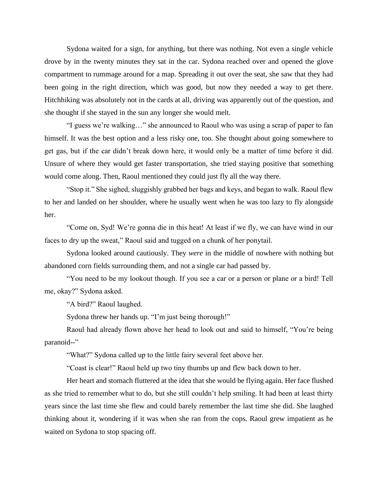Sydona waited for a sign, for anything, but there was nothing. Not even a single vehicle drove by in the twenty minutes they sat in the car. Sydona reached over and opened the glove compartment to rummage around for a map. Spreading it out over the seat, she saw that they had been going in the right direction, which was good, but now they needed a way to get there. Hitchhiking was absolutely not in the cards at all, driving was apparently out of the question, and she thought if she stayed in the sun any longer she would melt.

"I guess we're walking…" she announced to Raoul who was using a scrap of paper to fan himself. It was the best option and a less risky one, too. She thought about going somewhere to get gas, but if the car didn't break down here, it would only be a matter of time before it did. Unsure of where they would get faster transportation, she tried staying positive that something would come along. Then, Raoul mentioned they could just fly all the way there.

"Stop it." She sighed, sluggishly grabbed her bags and keys, and began to walk. Raoul flew to her and landed on her shoulder, where he usually went when he was too lazy to fly alongside her.

"Come on, Syd! We're gonna die in this heat! At least if we fly, we can have wind in our faces to dry up the sweat," Raoul said and tugged on a chunk of her ponytail.

Sydona looked around cautiously. They *were* in the middle of nowhere with nothing but abandoned corn fields surrounding them, and not a single car had passed by.

"You need to be my lookout though. If you see a car or a person or plane or a bird! Tell me, okay?" Sydona asked.

"A bird?" Raoul laughed.

Sydona threw her hands up. "I'm just being thorough!"

Raoul had already flown above her head to look out and said to himself, "You're being paranoid--"

"What?" Sydona called up to the little fairy several feet above her.

"Coast is clear!" Raoul held up two tiny thumbs up and flew back down to her.

Her heart and stomach fluttered at the idea that she would be flying again. Her face flushed as she tried to remember what to do, but she still couldn't help smiling. It had been at least thirty years since the last time she flew and could barely remember the last time she did. She laughed thinking about it, wondering if it was when she ran from the cops. Raoul grew impatient as he waited on Sydona to stop spacing off.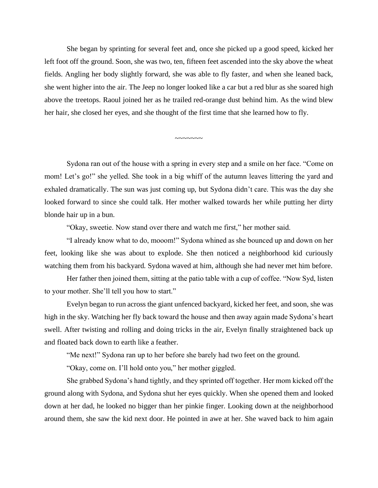She began by sprinting for several feet and, once she picked up a good speed, kicked her left foot off the ground. Soon, she was two, ten, fifteen feet ascended into the sky above the wheat fields. Angling her body slightly forward, she was able to fly faster, and when she leaned back, she went higher into the air. The Jeep no longer looked like a car but a red blur as she soared high above the treetops. Raoul joined her as he trailed red-orange dust behind him. As the wind blew her hair, she closed her eyes, and she thought of the first time that she learned how to fly.

Sydona ran out of the house with a spring in every step and a smile on her face. "Come on mom! Let's go!" she yelled. She took in a big whiff of the autumn leaves littering the yard and exhaled dramatically. The sun was just coming up, but Sydona didn't care. This was the day she looked forward to since she could talk. Her mother walked towards her while putting her dirty blonde hair up in a bun.

 $\sim$ ~~~~~

"Okay, sweetie. Now stand over there and watch me first," her mother said.

"I already know what to do, mooom!" Sydona whined as she bounced up and down on her feet, looking like she was about to explode. She then noticed a neighborhood kid curiously watching them from his backyard. Sydona waved at him, although she had never met him before.

Her father then joined them, sitting at the patio table with a cup of coffee. "Now Syd, listen to your mother. She'll tell you how to start."

Evelyn began to run across the giant unfenced backyard, kicked her feet, and soon, she was high in the sky. Watching her fly back toward the house and then away again made Sydona's heart swell. After twisting and rolling and doing tricks in the air, Evelyn finally straightened back up and floated back down to earth like a feather.

"Me next!" Sydona ran up to her before she barely had two feet on the ground.

"Okay, come on. I'll hold onto you," her mother giggled.

She grabbed Sydona's hand tightly, and they sprinted off together. Her mom kicked off the ground along with Sydona, and Sydona shut her eyes quickly. When she opened them and looked down at her dad, he looked no bigger than her pinkie finger. Looking down at the neighborhood around them, she saw the kid next door. He pointed in awe at her. She waved back to him again